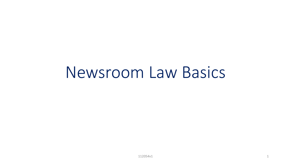# Newsroom Law Basics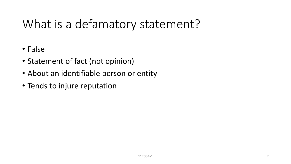# What is a defamatory statement?

- False
- Statement of fact (not opinion)
- About an identifiable person or entity
- Tends to injure reputation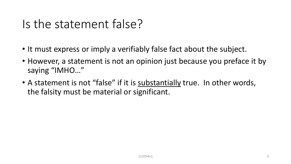#### Is the statement false?

- It must express or imply a verifiably false fact about the subject.
- However, a statement is not an opinion just because you preface it by saying "IMHO…"
- A statement is not "false" if it is substantially true. In other words, the falsity must be material or significant.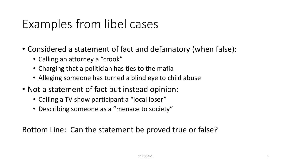#### Examples from libel cases

- Considered a statement of fact and defamatory (when false):
	- Calling an attorney a "crook"
	- Charging that a politician has ties to the mafia
	- Alleging someone has turned a blind eye to child abuse
- Not a statement of fact but instead opinion:
	- Calling a TV show participant a "local loser"
	- Describing someone as a "menace to society"

Bottom Line: Can the statement be proved true or false?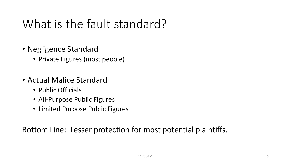# What is the fault standard?

- Negligence Standard
	- Private Figures (most people)
- Actual Malice Standard
	- Public Officials
	- All-Purpose Public Figures
	- Limited Purpose Public Figures

Bottom Line: Lesser protection for most potential plaintiffs.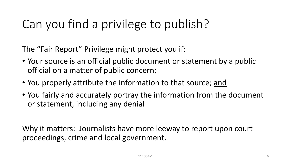# Can you find a privilege to publish?

The "Fair Report" Privilege might protect you if:

- Your source is an official public document or statement by a public official on a matter of public concern;
- You properly attribute the information to that source; and
- You fairly and accurately portray the information from the document or statement, including any denial

Why it matters: Journalists have more leeway to report upon court proceedings, crime and local government.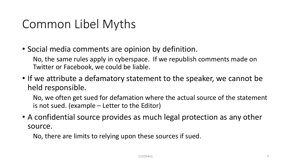# Common Libel Myths

• Social media comments are opinion by definition.

No, the same rules apply in cyberspace. If we republish comments made on Twitter or Facebook, we could be liable.

• If we attribute a defamatory statement to the speaker, we cannot be held responsible.

No, we often get sued for defamation where the actual source of the statement is not sued. (example – Letter to the Editor)

• A confidential source provides as much legal protection as any other source.

No, there are limits to relying upon these sources if sued.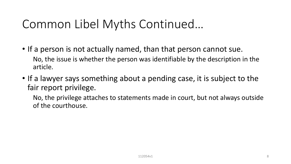# Common Libel Myths Continued…

- If a person is not actually named, than that person cannot sue. No, the issue is whether the person was identifiable by the description in the article.
- If a lawyer says something about a pending case, it is subject to the fair report privilege.

No, the privilege attaches to statements made in court, but not always outside of the courthouse.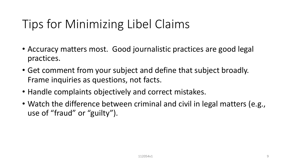# Tips for Minimizing Libel Claims

- Accuracy matters most. Good journalistic practices are good legal practices.
- Get comment from your subject and define that subject broadly. Frame inquiries as questions, not facts.
- Handle complaints objectively and correct mistakes.
- Watch the difference between criminal and civil in legal matters (e.g., use of "fraud" or "guilty").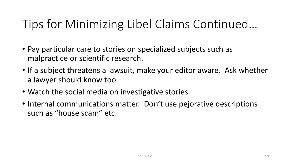# Tips for Minimizing Libel Claims Continued…

- Pay particular care to stories on specialized subjects such as malpractice or scientific research.
- If a subject threatens a lawsuit, make your editor aware. Ask whether a lawyer should know too.
- Watch the social media on investigative stories.
- Internal communications matter. Don't use pejorative descriptions such as "house scam" etc.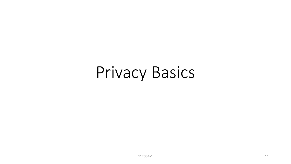# Privacy Basics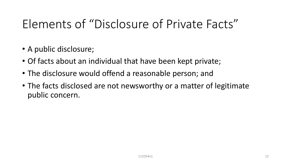## Elements of "Disclosure of Private Facts"

- A public disclosure;
- Of facts about an individual that have been kept private;
- The disclosure would offend a reasonable person; and
- The facts disclosed are not newsworthy or a matter of legitimate public concern.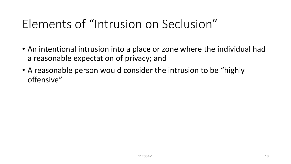# Elements of "Intrusion on Seclusion"

- An intentional intrusion into a place or zone where the individual had a reasonable expectation of privacy; and
- A reasonable person would consider the intrusion to be "highly offensive"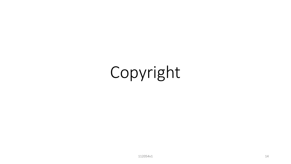# Copyright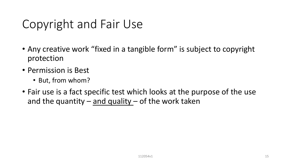# Copyright and Fair Use

- Any creative work "fixed in a tangible form" is subject to copyright protection
- Permission is Best
	- But, from whom?
- Fair use is a fact specific test which looks at the purpose of the use and the quantity – and quality – of the work taken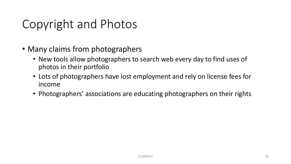# Copyright and Photos

- Many claims from photographers
	- New tools allow photographers to search web every day to find uses of photos in their portfolio
	- Lots of photographers have lost employment and rely on license fees for income
	- Photographers' associations are educating photographers on their rights